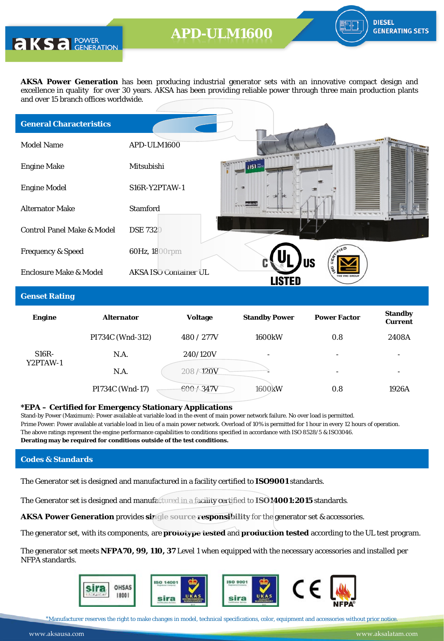**AKS** a POWER

**AKSA Power Generation** has been producing industrial generator sets with an innovative compact design and excellence in quality for over 30 years. AKSA has been providing reliable power through three main production plants and over 15 branch offices worldwide.

| <b>General Characteristics</b>        |                              |                        |
|---------------------------------------|------------------------------|------------------------|
| <b>Model Name</b>                     | APD-ULM1600                  |                        |
| <b>Engine Make</b>                    | Mitsubishi                   | alsa <sub>exeric</sub> |
| <b>Engine Model</b>                   | S16R-Y2PTAW-1                |                        |
| <b>Alternator Make</b>                | <b>Stamford</b>              |                        |
| <b>Control Panel Make &amp; Model</b> | <b>DSE 7320</b>              |                        |
| <b>Frequency &amp; Speed</b>          | 60Hz, 1800rpm                |                        |
| <b>Enclosure Make &amp; Model</b>     | <b>AKSA ISO Container UL</b> | <b>US</b>              |

#### **Genset Rating**

| <b>Engine</b> | <b>Alternator</b> | <b>Voltage</b> | <b>Standby Power</b> | <b>Power Factor</b> | <b>Standby</b><br><b>Current</b> |
|---------------|-------------------|----------------|----------------------|---------------------|----------------------------------|
|               | PI734C (Wnd-312)  | 480 / 277V     | <b>1600kW</b>        | 0.8                 | 2408A                            |
| $S16R-$       | N.A.              | 240/120V       | ٠                    | ٠                   | $\overline{\phantom{0}}$         |
| Y2PTAW-1      | N.A.              | 208/120V       |                      | ۰                   | $\overline{\phantom{a}}$         |
|               | PI734C (Wnd-17)   | $-600 / 347V$  | 1600 <sub>k</sub> W  | 0.8                 | 1926A                            |

#### **\*EPA – Certified for Emergency Stationary Applications**

Stand-by Power (Maximum): Power available at variable load in the event of main power network failure. No over load is permitted. Prime Power: Power available at variable load in lieu of a main power network. Overload of 10% is permitted for 1 hour in every 12 hours of operation. The above ratings represent the engine performance capabilities to conditions specified in accordance with ISO 8528/5 & ISO3046. **Derating may be required for conditions outside of the test conditions.**

### **Codes & Standards**

The Generator set is designed and manufactured in a facility certified to **ISO9001** standards.

The Generator set is designed and manufactured in a facility certified to **ISO14001:2015** standards.

**AKSA Power Generation** provides **single source responsibility** for the generator set & accessories.

The generator set, with its components, are **prototype tested** and **production tested** according to the UL test program.

The generator set meets **NFPA70, 99, 110, 37** Level 1 when equipped with the necessary accessories and installed per NFPA standards.



\*Manufacturer reserves the right to make changes in model, technical specifications, color, equipment and accessories without prior notice.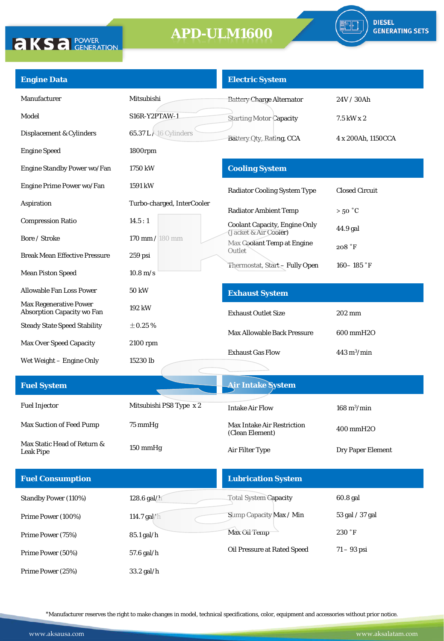

| <b>Engine Data</b>                                                 |                                       | <b>Electric System</b>                               |                              |
|--------------------------------------------------------------------|---------------------------------------|------------------------------------------------------|------------------------------|
| Manufacturer                                                       | Mitsubishi                            | <b>Battery Charge Alternator</b>                     | 24V / 30Ah                   |
| Model                                                              | S16R-Y2PTAW-1                         | <b>Starting Motor Capacity</b>                       | 7.5 kW x 2                   |
| Displacement & Cylinders                                           | <b>65.37 L</b> $\lambda$ 16 Cylinders | Battery Oty, Rating, CCA                             | 4 x 200Ah, 1150CCA           |
| <b>Engine Speed</b>                                                | 1800rpm                               |                                                      |                              |
| Engine Standby Power wo/Fan                                        | 1750 kW                               | <b>Cooling System</b>                                |                              |
| Engine Prime Power wo/Fan                                          | 1591 kW                               | <b>Radiator Cooling System Type</b>                  | <b>Closed Circuit</b>        |
| <b>Aspiration</b>                                                  | Turbo-charged, InterCooler            | <b>Radiator Ambient Temp</b>                         | $>50\degree C$               |
| <b>Compression Ratio</b>                                           | 14.5:1                                | <b>Coolant Capacity, Engine Only</b>                 | 44.9 gal                     |
| Bore / Stroke                                                      | 170 mm / 180 mm                       | (Jacket & Air Cooler)<br>Max Coolant Temp at Engine  | 208 °F                       |
| <b>Break Mean Effective Pressure</b>                               | $259$ psi                             | Outlet                                               |                              |
| <b>Mean Piston Speed</b>                                           | $10.8 \,\mathrm{m/s}$                 | Thermostat, Start-Fully Open                         | 160 – 185 °F                 |
| Allowable Fan Loss Power                                           | <b>50 kW</b>                          | <b>Exhaust System</b>                                |                              |
| <b>Max Regenerative Power</b><br><b>Absorption Capacity wo Fan</b> | 192 kW                                | <b>Exhaust Outlet Size</b>                           | 202 mm                       |
| <b>Steady State Speed Stability</b>                                | $\pm 0.25$ %                          | <b>Max Allowable Back Pressure</b>                   | 600 mmH2O                    |
| <b>Max Over Speed Capacity</b>                                     | 2100 rpm                              | <b>Exhaust Gas Flow</b>                              | $443 \text{ m}^3/\text{min}$ |
| Wet Weight – Engine Only                                           | 15230 lb                              |                                                      |                              |
| <b>Fuel System</b>                                                 |                                       | <b>Air Intake System</b>                             |                              |
|                                                                    |                                       |                                                      |                              |
| <b>Fuel Injector</b>                                               | Mitsubishi PS8 Type x 2               | <b>Intake Air Flow</b>                               | $168 \text{ m}^3/\text{min}$ |
| <b>Max Suction of Feed Pump</b>                                    | 75 mmHg                               | <b>Max Intake Air Restriction</b><br>(Clean Element) | 400 mmH2O                    |
| Max Static Head of Return &<br><b>Leak Pipe</b>                    | 150 mmHg                              | Air Filter Type                                      | <b>Dry Paper Element</b>     |
| <b>Fuel Consumption</b>                                            |                                       | <b>Lubrication System</b>                            |                              |
| Standby Power (110%)                                               | 128.6 gal/h                           | <b>Total System Capacity</b>                         | 60.8 gal                     |
| Prime Power (100%)                                                 | 114.7 gal/h                           | Sump Capacity Max / Min                              | 53 gal / 37 gal              |
| Prime Power (75%)                                                  | 85.1 gal/h                            | Max Oil Temp                                         | 230 °F                       |
| Prime Power (50%)                                                  | 57.6 gal/h                            | Oil Pressure at Rated Speed                          | $71 - 93$ psi                |
| Prime Power (25%)                                                  | 33.2 gal/h                            |                                                      |                              |

\*Manufacturer reserves the right to make changes in model, technical specifications, color, equipment and accessories without prior notice.

**AKSA POWER**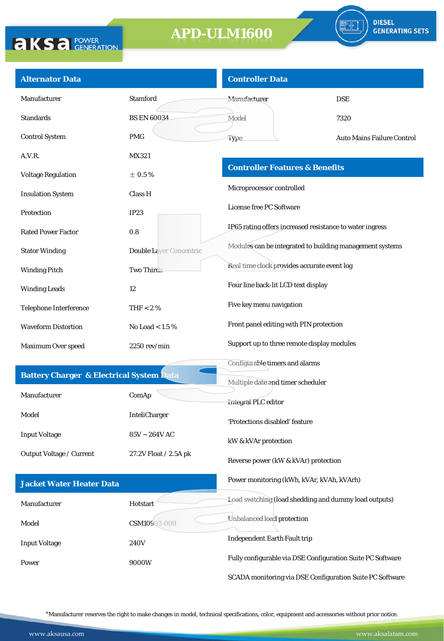

| <b>Alternator Data</b>                              |                                | <b>Controller Data</b>                                     |                                   |
|-----------------------------------------------------|--------------------------------|------------------------------------------------------------|-----------------------------------|
| Manufacturer                                        | <b>Stamford</b>                | <b>Manufacturer</b>                                        | <b>DSE</b>                        |
| <b>Standards</b>                                    | <b>BS EN 60034</b>             | Model                                                      | 7320                              |
| <b>Control System</b>                               | <b>PMG</b>                     | Type                                                       | <b>Auto Mains Failure Control</b> |
| A.V.R.                                              | MX321                          |                                                            |                                   |
| <b>Voltage Regulation</b>                           | $\pm$ 0.5%                     | <b>Controller Features &amp; Benefits</b>                  |                                   |
| <b>Insulation System</b>                            | Class H                        | Microprocessor controlled                                  |                                   |
| Protection                                          | IP23                           | License free PC Software                                   |                                   |
| <b>Rated Power Factor</b>                           | 0.8                            | IP65 rating offers increased resistance to water ingress   |                                   |
| <b>Stator Winding</b>                               | <b>Double Laver Concentric</b> | Modules can be integrated to building management systems   |                                   |
| <b>Winding Pitch</b>                                | <b>Two Thirds</b>              | Real time clock provides accurate event log                |                                   |
| <b>Winding Leads</b>                                | 12                             | Four line back-lit LCD text display                        |                                   |
| <b>Telephone Interference</b>                       | THF $< 2 \%$                   | Five key menu navigation                                   |                                   |
| <b>Waveform Distortion</b>                          | No Load $< 1.5 \%$             | Front panel editing with PIN protection                    |                                   |
| Maximum Over speed                                  | 2250 rev/min                   | Support up to three remote display modules                 |                                   |
|                                                     |                                | Configurable timers and alarms                             |                                   |
| <b>Battery Charger &amp; Electrical System Data</b> |                                | Multiple date and timer scheduler                          |                                   |
| Manufacturer                                        | ComAp                          | Integral PLC editor                                        |                                   |
| Model                                               | InteliCharger                  | 'Protections disabled' feature                             |                                   |
| <b>Input Voltage</b>                                | $85V \sim 264V$ AC             | kW & kVAr protection                                       |                                   |
| Output Voltage / Current                            | 27.2V Float / 2.5A pk          | Reverse power (kW & kVAr) protection                       |                                   |
| <b>Jacket Water Heater Data</b>                     |                                | Power monitoring (kWh, kVAr, kVAh, kVArh)                  |                                   |
| Manufacturer                                        | Hotstart                       | Load switching (load shedding and dummy load outputs)      |                                   |
| Model                                               | CSM10902-000                   | Unbalanced load protection                                 |                                   |
| <b>Input Voltage</b>                                | <b>240V</b>                    | <b>Independent Earth Fault trip</b>                        |                                   |
| Power                                               | 9000W                          | Fully configurable via DSE Configuration Suite PC Software |                                   |
|                                                     |                                | SCADA monitoring via DSE Configuration Suite PC Software   |                                   |

\*Manufacturer reserves the right to make changes in model, technical specifications, color, equipment and accessories without prior notice.

**AKSA POWER**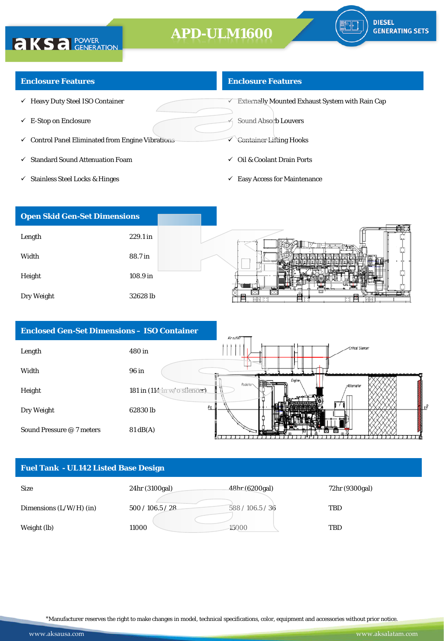### **Enclosure Features**

**AKSA POWER** 

- $\checkmark$  Heavy Duty Steel ISO Container
- $\checkmark$  E-Stop on Enclosure
- $\checkmark$  Control Panel Eliminated from Engine Vibrations
- $\checkmark$  Standard Sound Attenuation Foam
- $\checkmark$  Stainless Steel Locks & Hinges

### **Enclosure Features**

 $\overline{\mathsf{C}}$  Externally Mounted Exhaust System with Rain Cap

Sound Absorb Louvers

- Container Lifting Hooks
- Oil & Coolant Drain Ports
- $\checkmark$  Easy Access for Maintenance



| <b>Enclosed Gen-Set Dimensions - ISO Container</b> |                              | Air outlet                                     |
|----------------------------------------------------|------------------------------|------------------------------------------------|
| Length                                             | 480 in                       | -Critical Silencer                             |
| Width                                              | 96 in                        |                                                |
| Height                                             | 181 in (114 in w/o silencer) | <b>Engine</b><br>Radiator<br><b>Alternator</b> |
| Dry Weight                                         | $B_{\text{I}}$<br>62830 lb   | 乳花                                             |
| Sound Pressure @ 7 meters                          | $81 \text{ dB}(A)$           |                                                |

### **Fuel Tank - UL142 Listed Base Design**



\*Manufacturer reserves the right to make changes in model, technical specifications, color, equipment and accessories without prior notice.